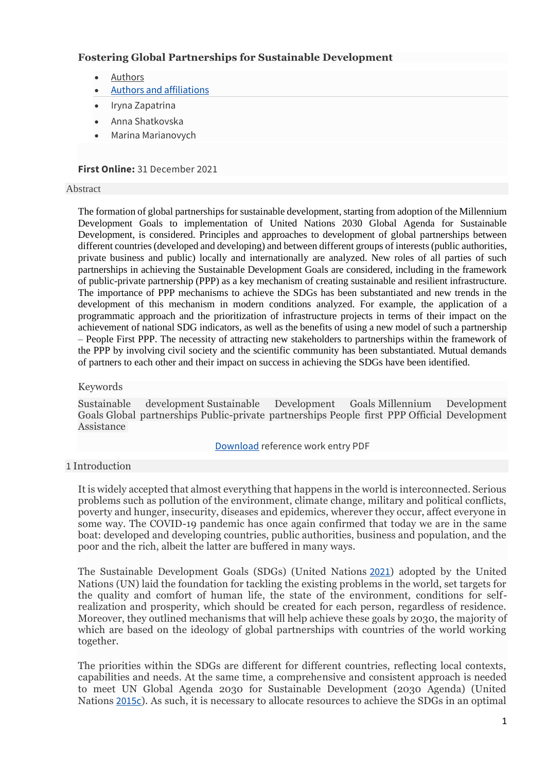# **Fostering Global Partnerships for Sustainable Development**

- **[Authors](https://link.springer.com/referenceworkentry/10.1007%2F978-3-030-68074-9_10-1#authors)**
- [Authors and affiliations](https://link.springer.com/referenceworkentry/10.1007%2F978-3-030-68074-9_10-1#authorsandaffiliations)
- Iryna Zapatrina
- Anna Shatkovska
- Marina Marianovych

# **First Online:** 31 December 2021

### Abstract

The formation of global partnerships for sustainable development, starting from adoption of the Millennium Development Goals to implementation of United Nations 2030 Global Agenda for Sustainable Development, is considered. Principles and approaches to development of global partnerships between different countries (developed and developing) and between different groups of interests (public authorities, private business and public) locally and internationally are analyzed. New roles of all parties of such partnerships in achieving the Sustainable Development Goals are considered, including in the framework of public-private partnership (PPP) as a key mechanism of creating sustainable and resilient infrastructure. The importance of PPP mechanisms to achieve the SDGs has been substantiated and new trends in the development of this mechanism in modern conditions analyzed. For example, the application of a programmatic approach and the prioritization of infrastructure projects in terms of their impact on the achievement of national SDG indicators, as well as the benefits of using a new model of such a partnership – People First PPP. The necessity of attracting new stakeholders to partnerships within the framework of the PPP by involving civil society and the scientific community has been substantiated. Mutual demands of partners to each other and their impact on success in achieving the SDGs have been identified.

## Keywords

Sustainable development Sustainable Development Goals Millennium Development Goals Global partnerships Public-private partnerships People first PPP Official Development Assistance

## [Download](https://link.springer.com/content/pdf/10.1007%2F978-3-030-68074-9_10-1.pdf) reference work entry PDF

## 1 Introduction

It is widely accepted that almost everything that happens in the world is interconnected. Serious problems such as pollution of the environment, climate change, military and political conflicts, poverty and hunger, insecurity, diseases and epidemics, wherever they occur, affect everyone in some way. The COVID-19 pandemic has once again confirmed that today we are in the same boat: developed and developing countries, public authorities, business and population, and the poor and the rich, albeit the latter are buffered in many ways.

The Sustainable Development Goals (SDGs) (United Nations [2021](https://link.springer.com/referenceworkentry/10.1007%2F978-3-030-68074-9_10-1#CR17)) adopted by the United Nations (UN) laid the foundation for tackling the existing problems in the world, set targets for the quality and comfort of human life, the state of the environment, conditions for selfrealization and prosperity, which should be created for each person, regardless of residence. Moreover, they outlined mechanisms that will help achieve these goals by 2030, the majority of which are based on the ideology of global partnerships with countries of the world working together.

The priorities within the SDGs are different for different countries, reflecting local contexts, capabilities and needs. At the same time, a comprehensive and consistent approach is needed to meet UN Global Agenda 2030 for Sustainable Development (2030 Agenda) (United Nations [2015c](https://link.springer.com/referenceworkentry/10.1007%2F978-3-030-68074-9_10-1#CR15)). As such, it is necessary to allocate resources to achieve the SDGs in an optimal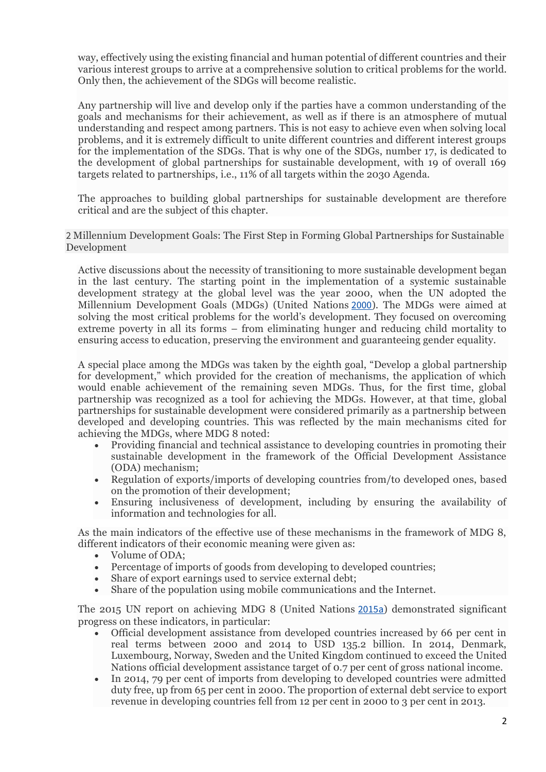way, effectively using the existing financial and human potential of different countries and their various interest groups to arrive at a comprehensive solution to critical problems for the world. Only then, the achievement of the SDGs will become realistic.

Any partnership will live and develop only if the parties have a common understanding of the goals and mechanisms for their achievement, as well as if there is an atmosphere of mutual understanding and respect among partners. This is not easy to achieve even when solving local problems, and it is extremely difficult to unite different countries and different interest groups for the implementation of the SDGs. That is why one of the SDGs, number 17, is dedicated to the development of global partnerships for sustainable development, with 19 of overall 169 targets related to partnerships, i.e., 11% of all targets within the 2030 Agenda.

The approaches to building global partnerships for sustainable development are therefore critical and are the subject of this chapter.

2 Millennium Development Goals: The First Step in Forming Global Partnerships for Sustainable Development

Active discussions about the necessity of transitioning to more sustainable development began in the last century. The starting point in the implementation of a systemic sustainable development strategy at the global level was the year 2000, when the UN adopted the Millennium Development Goals (MDGs) (United Nations [2000](https://link.springer.com/referenceworkentry/10.1007%2F978-3-030-68074-9_10-1#CR16)). The MDGs were aimed at solving the most critical problems for the world's development. They focused on overcoming extreme poverty in all its forms – from eliminating hunger and reducing child mortality to ensuring access to education, preserving the environment and guaranteeing gender equality.

A special place among the MDGs was taken by the eighth goal, "Develop a global partnership for development," which provided for the creation of mechanisms, the application of which would enable achievement of the remaining seven MDGs. Thus, for the first time, global partnership was recognized as a tool for achieving the MDGs. However, at that time, global partnerships for sustainable development were considered primarily as a partnership between developed and developing countries. This was reflected by the main mechanisms cited for achieving the MDGs, where MDG 8 noted:

- Providing financial and technical assistance to developing countries in promoting their sustainable development in the framework of the Official Development Assistance (ODA) mechanism;
- Regulation of exports/imports of developing countries from/to developed ones, based on the promotion of their development;
- Ensuring inclusiveness of development, including by ensuring the availability of information and technologies for all.

As the main indicators of the effective use of these mechanisms in the framework of MDG 8, different indicators of their economic meaning were given as:

- Volume of ODA;
- Percentage of imports of goods from developing to developed countries;
- Share of export earnings used to service external debt;
- Share of the population using mobile communications and the Internet.

The 2015 UN report on achieving MDG 8 (United Nations [2015a](https://link.springer.com/referenceworkentry/10.1007%2F978-3-030-68074-9_10-1#CR13)) demonstrated significant progress on these indicators, in particular:

- Official development assistance from developed countries increased by 66 per cent in real terms between 2000 and 2014 to USD 135.2 billion. In 2014, Denmark, Luxembourg, Norway, Sweden and the United Kingdom continued to exceed the United Nations official development assistance target of 0.7 per cent of gross national income.
- In 2014, 79 per cent of imports from developing to developed countries were admitted duty free, up from 65 per cent in 2000. The proportion of external debt service to export revenue in developing countries fell from 12 per cent in 2000 to 3 per cent in 2013.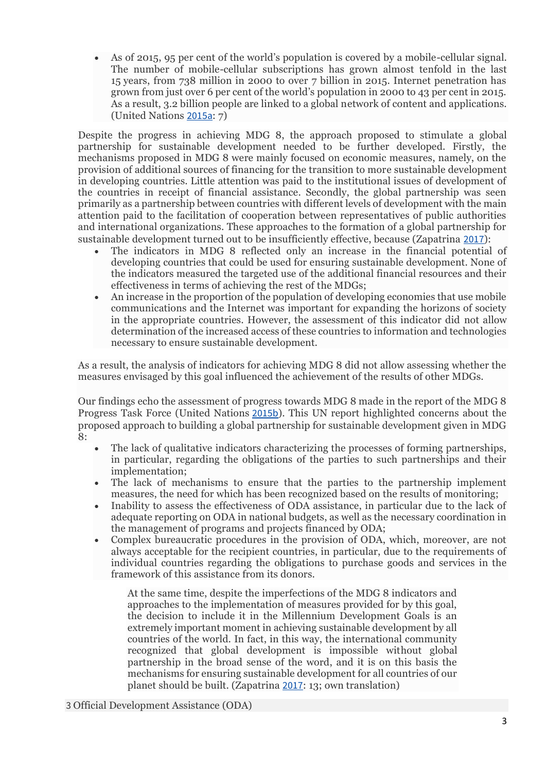• As of 2015, 95 per cent of the world's population is covered by a mobile-cellular signal. The number of mobile-cellular subscriptions has grown almost tenfold in the last 15 years, from 738 million in 2000 to over 7 billion in 2015. Internet penetration has grown from just over 6 per cent of the world's population in 2000 to 43 per cent in 2015. As a result, 3.2 billion people are linked to a global network of content and applications. (United Nations [2015a](https://link.springer.com/referenceworkentry/10.1007%2F978-3-030-68074-9_10-1#CR13): 7)

Despite the progress in achieving MDG 8, the approach proposed to stimulate a global partnership for sustainable development needed to be further developed. Firstly, the mechanisms proposed in MDG 8 were mainly focused on economic measures, namely, on the provision of additional sources of financing for the transition to more sustainable development in developing countries. Little attention was paid to the institutional issues of development of the countries in receipt of financial assistance. Secondly, the global partnership was seen primarily as a partnership between countries with different levels of development with the main attention paid to the facilitation of cooperation between representatives of public authorities and international organizations. These approaches to the formation of a global partnership for sustainable development turned out to be insufficiently effective, because (Zapatrina [2017](https://link.springer.com/referenceworkentry/10.1007%2F978-3-030-68074-9_10-1#CR18)):

- The indicators in MDG 8 reflected only an increase in the financial potential of developing countries that could be used for ensuring sustainable development. None of the indicators measured the targeted use of the additional financial resources and their effectiveness in terms of achieving the rest of the MDGs;
- An increase in the proportion of the population of developing economies that use mobile communications and the Internet was important for expanding the horizons of society in the appropriate countries. However, the assessment of this indicator did not allow determination of the increased access of these countries to information and technologies necessary to ensure sustainable development.

As a result, the analysis of indicators for achieving MDG 8 did not allow assessing whether the measures envisaged by this goal influenced the achievement of the results of other MDGs.

Our findings echo the assessment of progress towards MDG 8 made in the report of the MDG 8 Progress Task Force (United Nations [2015b](https://link.springer.com/referenceworkentry/10.1007%2F978-3-030-68074-9_10-1#CR14)). This UN report highlighted concerns about the proposed approach to building a global partnership for sustainable development given in MDG 8:

- The lack of qualitative indicators characterizing the processes of forming partnerships, in particular, regarding the obligations of the parties to such partnerships and their implementation;
- The lack of mechanisms to ensure that the parties to the partnership implement measures, the need for which has been recognized based on the results of monitoring;
- Inability to assess the effectiveness of ODA assistance, in particular due to the lack of adequate reporting on ODA in national budgets, as well as the necessary coordination in the management of programs and projects financed by ODA;
- Complex bureaucratic procedures in the provision of ODA, which, moreover, are not always acceptable for the recipient countries, in particular, due to the requirements of individual countries regarding the obligations to purchase goods and services in the framework of this assistance from its donors.

At the same time, despite the imperfections of the MDG 8 indicators and approaches to the implementation of measures provided for by this goal, the decision to include it in the Millennium Development Goals is an extremely important moment in achieving sustainable development by all countries of the world. In fact, in this way, the international community recognized that global development is impossible without global partnership in the broad sense of the word, and it is on this basis the mechanisms for ensuring sustainable development for all countries of our planet should be built. (Zapatrina [2017](https://link.springer.com/referenceworkentry/10.1007%2F978-3-030-68074-9_10-1#CR18): 13; own translation)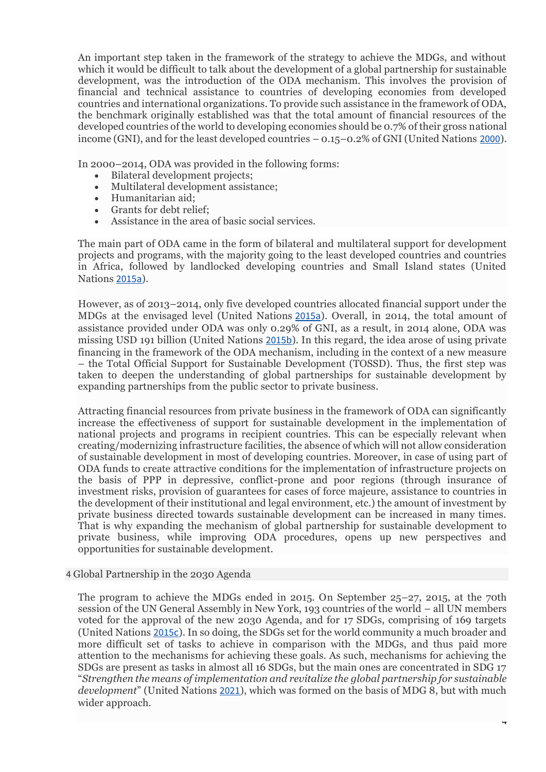An important step taken in the framework of the strategy to achieve the MDGs, and without which it would be difficult to talk about the development of a global partnership for sustainable development, was the introduction of the ODA mechanism. This involves the provision of financial and technical assistance to countries of developing economies from developed countries and international organizations. To provide such assistance in the framework of ODA, the benchmark originally established was that the total amount of financial resources of the developed countries of the world to developing economies should be 0.7% of their gross national income (GNI), and for the least developed countries – 0.15–0.2% of GNI (United Nations [2000](https://link.springer.com/referenceworkentry/10.1007%2F978-3-030-68074-9_10-1#CR16)).

In 2000–2014, ODA was provided in the following forms:

- Bilateral development projects;
- Multilateral development assistance;
- Humanitarian aid;
- Grants for debt relief;
- Assistance in the area of basic social services.

The main part of ODA came in the form of bilateral and multilateral support for development projects and programs, with the majority going to the least developed countries and countries in Africa, followed by landlocked developing countries and Small Island states (United Nations [2015a](https://link.springer.com/referenceworkentry/10.1007%2F978-3-030-68074-9_10-1#CR13)).

However, as of 2013–2014, only five developed countries allocated financial support under the MDGs at the envisaged level (United Nations [2015a](https://link.springer.com/referenceworkentry/10.1007%2F978-3-030-68074-9_10-1#CR13)). Overall, in 2014, the total amount of assistance provided under ODA was only 0.29% of GNI, as a result, in 2014 alone, ODA was missing USD 191 billion (United Nations [2015b](https://link.springer.com/referenceworkentry/10.1007%2F978-3-030-68074-9_10-1#CR14)). In this regard, the idea arose of using private financing in the framework of the ODA mechanism, including in the context of a new measure – the Total Official Support for Sustainable Development (TOSSD). Thus, the first step was taken to deepen the understanding of global partnerships for sustainable development by expanding partnerships from the public sector to private business.

Attracting financial resources from private business in the framework of ODA can significantly increase the effectiveness of support for sustainable development in the implementation of national projects and programs in recipient countries. This can be especially relevant when creating/modernizing infrastructure facilities, the absence of which will not allow consideration of sustainable development in most of developing countries. Moreover, in case of using part of ODA funds to create attractive conditions for the implementation of infrastructure projects on the basis of PPP in depressive, conflict-prone and poor regions (through insurance of investment risks, provision of guarantees for cases of force majeure, assistance to countries in the development of their institutional and legal environment, etc.) the amount of investment by private business directed towards sustainable development can be increased in many times. That is why expanding the mechanism of global partnership for sustainable development to private business, while improving ODA procedures, opens up new perspectives and opportunities for sustainable development.

### 4 Global Partnership in the 2030 Agenda

The program to achieve the MDGs ended in 2015. On September 25–27, 2015, at the 70th session of the UN General Assembly in New York, 193 countries of the world – all UN members voted for the approval of the new 2030 Agenda, and for 17 SDGs, comprising of 169 targets (United Nations [2015c](https://link.springer.com/referenceworkentry/10.1007%2F978-3-030-68074-9_10-1#CR15)). In so doing, the SDGs set for the world community a much broader and more difficult set of tasks to achieve in comparison with the MDGs, and thus paid more attention to the mechanisms for achieving these goals. As such, mechanisms for achieving the SDGs are present as tasks in almost all 16 SDGs, but the main ones are concentrated in SDG 17 "*Strengthen the means of implementation and revitalize the global partnership for sustainable development*" (United Nations [2021](https://link.springer.com/referenceworkentry/10.1007%2F978-3-030-68074-9_10-1#CR17)), which was formed on the basis of MDG 8, but with much wider approach.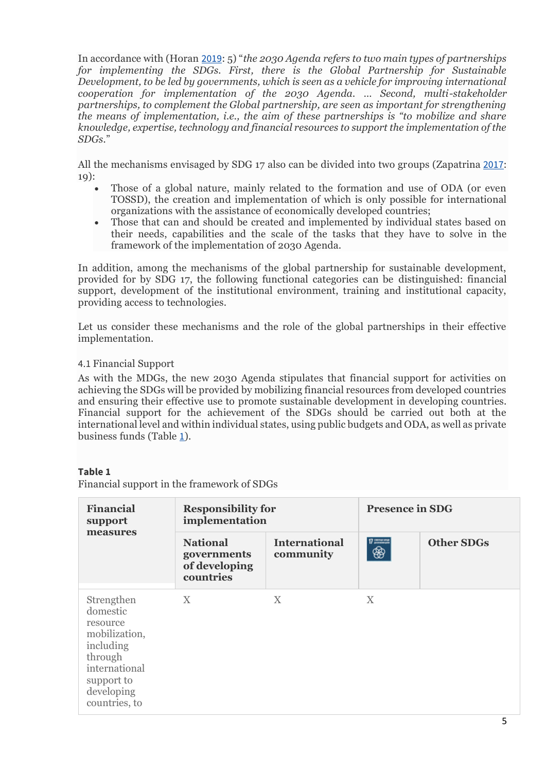In accordance with (Horan [2019](https://link.springer.com/referenceworkentry/10.1007%2F978-3-030-68074-9_10-1#CR3): 5) "*the 2030 Agenda refers to two main types of partnerships for implementing the SDGs. First, there is the Global Partnership for Sustainable Development, to be led by governments, which is seen as a vehicle for improving international cooperation for implementation of the 2030 Agenda. … Second, multi-stakeholder partnerships, to complement the Global partnership, are seen as important for strengthening the means of implementation, i.e., the aim of these partnerships is "to mobilize and share knowledge, expertise, technology and financial resources to support the implementation of the SDGs.*"

All the mechanisms envisaged by SDG 17 also can be divided into two groups (Zapatrina [2017](https://link.springer.com/referenceworkentry/10.1007%2F978-3-030-68074-9_10-1#CR18): 19):

- Those of a global nature, mainly related to the formation and use of ODA (or even TOSSD), the creation and implementation of which is only possible for international organizations with the assistance of economically developed countries;
- Those that can and should be created and implemented by individual states based on their needs, capabilities and the scale of the tasks that they have to solve in the framework of the implementation of 2030 Agenda.

In addition, among the mechanisms of the global partnership for sustainable development, provided for by SDG 17, the following functional categories can be distinguished: financial support, development of the institutional environment, training and institutional capacity, providing access to technologies.

Let us consider these mechanisms and the role of the global partnerships in their effective implementation.

# 4.1 Financial Support

As with the MDGs, the new 2030 Agenda stipulates that financial support for activities on achieving the SDGs will be provided by mobilizing financial resources from developed countries and ensuring their effective use to promote sustainable development in developing countries. Financial support for the achievement of the SDGs should be carried out both at the international level and within individual states, using public budgets and ODA, as well as private business funds (Table [1](https://link.springer.com/referenceworkentry/10.1007%2F978-3-030-68074-9_10-1#Tab1)).

## **Table 1**

Financial support in the framework of SDGs

| <b>Financial</b><br>support<br>measures                                                                                                   | <b>Responsibility for</b><br>implementation                  |                                   | <b>Presence in SDG</b> |                   |
|-------------------------------------------------------------------------------------------------------------------------------------------|--------------------------------------------------------------|-----------------------------------|------------------------|-------------------|
|                                                                                                                                           | <b>National</b><br>governments<br>of developing<br>countries | <b>International</b><br>community | $7 - 7$<br>❀           | <b>Other SDGs</b> |
| Strengthen<br>domestic<br>resource<br>mobilization,<br>including<br>through<br>international<br>support to<br>developing<br>countries, to | X                                                            | X                                 | X                      |                   |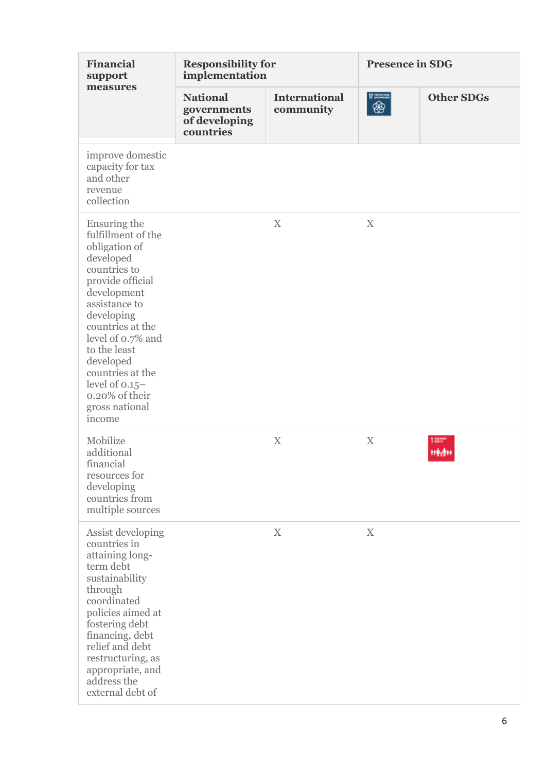| <b>Financial</b><br>support<br>measures                                                                                                                                                                                                                                                                        | <b>Responsibility for</b><br>implementation                  |                                   | <b>Presence in SDG</b> |                   |
|----------------------------------------------------------------------------------------------------------------------------------------------------------------------------------------------------------------------------------------------------------------------------------------------------------------|--------------------------------------------------------------|-----------------------------------|------------------------|-------------------|
|                                                                                                                                                                                                                                                                                                                | <b>National</b><br>governments<br>of developing<br>countries | <b>International</b><br>community | $7 - 7$<br>❀           | <b>Other SDGs</b> |
| improve domestic<br>capacity for tax<br>and other<br>revenue<br>collection                                                                                                                                                                                                                                     |                                                              |                                   |                        |                   |
| Ensuring the<br>fulfillment of the<br>obligation of<br>developed<br>countries to<br>provide official<br>development<br>assistance to<br>developing<br>countries at the<br>level of 0.7% and<br>to the least<br>developed<br>countries at the<br>level of $0.15-$<br>0.20% of their<br>gross national<br>income |                                                              | $\boldsymbol{\mathrm{X}}$         | $\mathbf X$            |                   |
| Mobilize<br>additional<br>financial<br>resources for<br>developing<br>countries from<br>multiple sources                                                                                                                                                                                                       |                                                              | $\boldsymbol{\mathrm{X}}$         | $\mathbf X$            | 1<br>medi         |
| Assist developing<br>countries in<br>attaining long-<br>term debt<br>sustainability<br>through<br>coordinated<br>policies aimed at<br>fostering debt<br>financing, debt<br>relief and debt<br>restructuring, as<br>appropriate, and<br>address the<br>external debt of                                         |                                                              | $\mathbf X$                       | $\mathbf X$            |                   |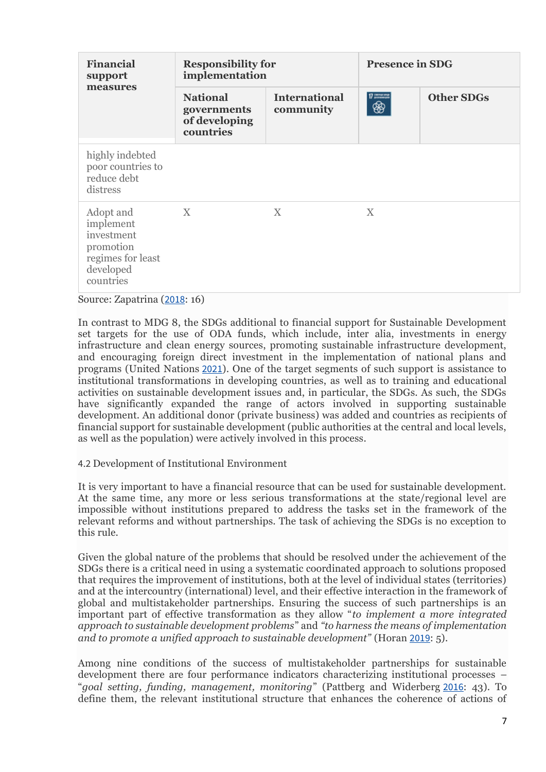| <b>Financial</b><br>support<br>measures                                                          | <b>Responsibility for</b><br>implementation                  |                                   | <b>Presence in SDG</b> |                   |
|--------------------------------------------------------------------------------------------------|--------------------------------------------------------------|-----------------------------------|------------------------|-------------------|
|                                                                                                  | <b>National</b><br>governments<br>of developing<br>countries | <b>International</b><br>community | $7 - 7$<br>❀           | <b>Other SDGs</b> |
| highly indebted<br>poor countries to<br>reduce debt<br>distress                                  |                                                              |                                   |                        |                   |
| Adopt and<br>implement<br>investment<br>promotion<br>regimes for least<br>developed<br>countries | X                                                            | X                                 | X                      |                   |

Source: Zapatrina ([2018](https://link.springer.com/referenceworkentry/10.1007%2F978-3-030-68074-9_10-1#CR19): 16)

In contrast to MDG 8, the SDGs additional to financial support for Sustainable Development set targets for the use of ODA funds, which include, inter alia, investments in energy infrastructure and clean energy sources, promoting sustainable infrastructure development, and encouraging foreign direct investment in the implementation of national plans and programs (United Nations [2021](https://link.springer.com/referenceworkentry/10.1007%2F978-3-030-68074-9_10-1#CR17)). One of the target segments of such support is assistance to institutional transformations in developing countries, as well as to training and educational activities on sustainable development issues and, in particular, the SDGs. As such, the SDGs have significantly expanded the range of actors involved in supporting sustainable development. An additional donor (private business) was added and countries as recipients of financial support for sustainable development (public authorities at the central and local levels, as well as the population) were actively involved in this process.

4.2 Development of Institutional Environment

It is very important to have a financial resource that can be used for sustainable development. At the same time, any more or less serious transformations at the state/regional level are impossible without institutions prepared to address the tasks set in the framework of the relevant reforms and without partnerships. The task of achieving the SDGs is no exception to this rule.

Given the global nature of the problems that should be resolved under the achievement of the SDGs there is a critical need in using a systematic coordinated approach to solutions proposed that requires the improvement of institutions, both at the level of individual states (territories) and at the intercountry (international) level, and their effective interaction in the framework of global and multistakeholder partnerships. Ensuring the success of such partnerships is an important part of effective transformation as they allow "*to implement a more integrated approach to sustainable development problems*" and *"to harness the means of implementation and to promote a unified approach to sustainable development"* (Horan [2019](https://link.springer.com/referenceworkentry/10.1007%2F978-3-030-68074-9_10-1#CR3): 5).

Among nine conditions of the success of multistakeholder partnerships for sustainable development there are four performance indicators characterizing institutional processes – "*goal setting, funding, management, monitoring*" (Pattberg and Widerberg [2016](https://link.springer.com/referenceworkentry/10.1007%2F978-3-030-68074-9_10-1#CR8): 43). To define them, the relevant institutional structure that enhances the coherence of actions of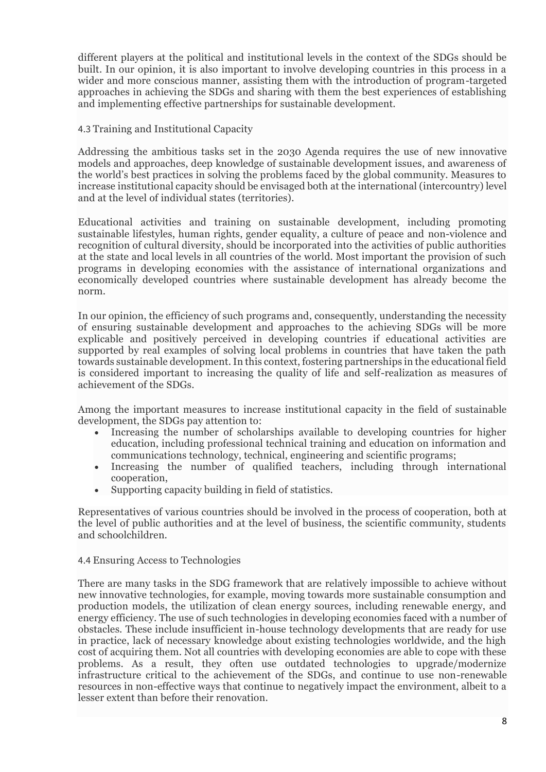different players at the political and institutional levels in the context of the SDGs should be built. In our opinion, it is also important to involve developing countries in this process in a wider and more conscious manner, assisting them with the introduction of program-targeted approaches in achieving the SDGs and sharing with them the best experiences of establishing and implementing effective partnerships for sustainable development.

## 4.3 Training and Institutional Capacity

Addressing the ambitious tasks set in the 2030 Agenda requires the use of new innovative models and approaches, deep knowledge of sustainable development issues, and awareness of the world's best practices in solving the problems faced by the global community. Measures to increase institutional capacity should be envisaged both at the international (intercountry) level and at the level of individual states (territories).

Educational activities and training on sustainable development, including promoting sustainable lifestyles, human rights, gender equality, a culture of peace and non-violence and recognition of cultural diversity, should be incorporated into the activities of public authorities at the state and local levels in all countries of the world. Most important the provision of such programs in developing economies with the assistance of international organizations and economically developed countries where sustainable development has already become the norm.

In our opinion, the efficiency of such programs and, consequently, understanding the necessity of ensuring sustainable development and approaches to the achieving SDGs will be more explicable and positively perceived in developing countries if educational activities are supported by real examples of solving local problems in countries that have taken the path towards sustainable development. In this context, fostering partnerships in the educational field is considered important to increasing the quality of life and self-realization as measures of achievement of the SDGs.

Among the important measures to increase institutional capacity in the field of sustainable development, the SDGs pay attention to:

- Increasing the number of scholarships available to developing countries for higher education, including professional technical training and education on information and communications technology, technical, engineering and scientific programs;
- Increasing the number of qualified teachers, including through international cooperation,
- Supporting capacity building in field of statistics.

Representatives of various countries should be involved in the process of cooperation, both at the level of public authorities and at the level of business, the scientific community, students and schoolchildren.

## 4.4 Ensuring Access to Technologies

There are many tasks in the SDG framework that are relatively impossible to achieve without new innovative technologies, for example, moving towards more sustainable consumption and production models, the utilization of clean energy sources, including renewable energy, and energy efficiency. The use of such technologies in developing economies faced with a number of obstacles. These include insufficient in-house technology developments that are ready for use in practice, lack of necessary knowledge about existing technologies worldwide, and the high cost of acquiring them. Not all countries with developing economies are able to cope with these problems. As a result, they often use outdated technologies to upgrade/modernize infrastructure critical to the achievement of the SDGs, and continue to use non-renewable resources in non-effective ways that continue to negatively impact the environment, albeit to a lesser extent than before their renovation.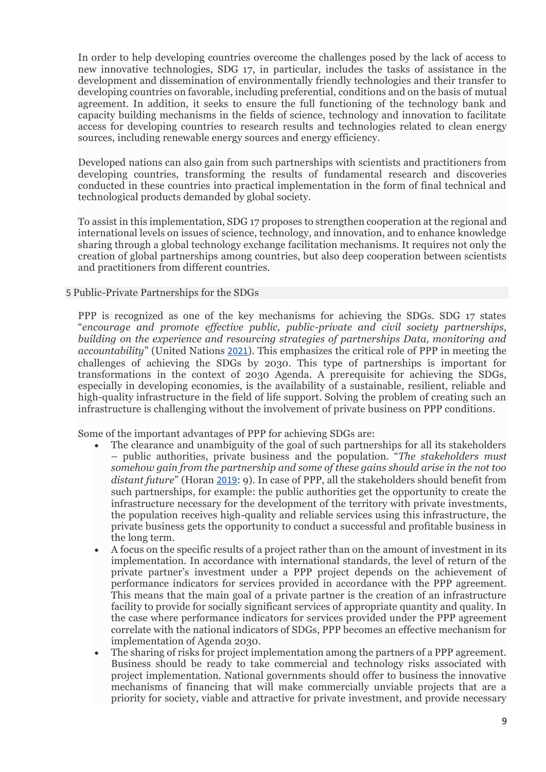In order to help developing countries overcome the challenges posed by the lack of access to new innovative technologies, SDG 17, in particular, includes the tasks of assistance in the development and dissemination of environmentally friendly technologies and their transfer to developing countries on favorable, including preferential, conditions and on the basis of mutual agreement. In addition, it seeks to ensure the full functioning of the technology bank and capacity building mechanisms in the fields of science, technology and innovation to facilitate access for developing countries to research results and technologies related to clean energy sources, including renewable energy sources and energy efficiency.

Developed nations can also gain from such partnerships with scientists and practitioners from developing countries, transforming the results of fundamental research and discoveries conducted in these countries into practical implementation in the form of final technical and technological products demanded by global society.

To assist in this implementation, SDG 17 proposes to strengthen cooperation at the regional and international levels on issues of science, technology, and innovation, and to enhance knowledge sharing through a global technology exchange facilitation mechanisms. It requires not only the creation of global partnerships among countries, but also deep cooperation between scientists and practitioners from different countries.

### 5 Public-Private Partnerships for the SDGs

PPP is recognized as one of the key mechanisms for achieving the SDGs. SDG 17 states "*encourage and promote effective public, public-private and civil society partnerships, building on the experience and resourcing strategies of partnerships Data, monitoring and accountability*" (United Nations [2021](https://link.springer.com/referenceworkentry/10.1007%2F978-3-030-68074-9_10-1#CR17)). This emphasizes the critical role of PPP in meeting the challenges of achieving the SDGs by 2030. This type of partnerships is important for transformations in the context of 2030 Agenda. A prerequisite for achieving the SDGs, especially in developing economies, is the availability of a sustainable, resilient, reliable and high-quality infrastructure in the field of life support. Solving the problem of creating such an infrastructure is challenging without the involvement of private business on PPP conditions.

Some of the important advantages of PPP for achieving SDGs are:

- The clearance and unambiguity of the goal of such partnerships for all its stakeholders – public authorities, private business and the population. "*The stakeholders must somehow gain from the partnership and some of these gains should arise in the not too distant future*" (Horan [2019](https://link.springer.com/referenceworkentry/10.1007%2F978-3-030-68074-9_10-1#CR3): 9). In case of PPP, all the stakeholders should benefit from such partnerships, for example: the public authorities get the opportunity to create the infrastructure necessary for the development of the territory with private investments, the population receives high-quality and reliable services using this infrastructure, the private business gets the opportunity to conduct a successful and profitable business in the long term.
- A focus on the specific results of a project rather than on the amount of investment in its implementation. In accordance with international standards, the level of return of the private partner's investment under a PPP project depends on the achievement of performance indicators for services provided in accordance with the PPP agreement. This means that the main goal of a private partner is the creation of an infrastructure facility to provide for socially significant services of appropriate quantity and quality. In the case where performance indicators for services provided under the PPP agreement correlate with the national indicators of SDGs, PPP becomes an effective mechanism for implementation of Agenda 2030.
- The sharing of risks for project implementation among the partners of a PPP agreement. Business should be ready to take commercial and technology risks associated with project implementation. National governments should offer to business the innovative mechanisms of financing that will make commercially unviable projects that are a priority for society, viable and attractive for private investment, and provide necessary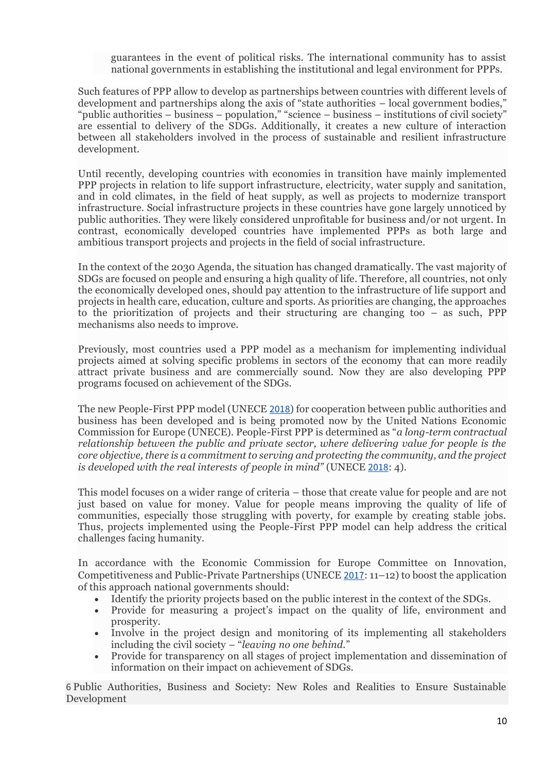guarantees in the event of political risks. The international community has to assist national governments in establishing the institutional and legal environment for PPPs.

Such features of PPP allow to develop as partnerships between countries with different levels of development and partnerships along the axis of "state authorities – local government bodies," "public authorities – business – population," "science – business – institutions of civil society" are essential to delivery of the SDGs. Additionally, it creates a new culture of interaction between all stakeholders involved in the process of sustainable and resilient infrastructure development.

Until recently, developing countries with economies in transition have mainly implemented PPP projects in relation to life support infrastructure, electricity, water supply and sanitation, and in cold climates, in the field of heat supply, as well as projects to modernize transport infrastructure. Social infrastructure projects in these countries have gone largely unnoticed by public authorities. They were likely considered unprofitable for business and/or not urgent. In contrast, economically developed countries have implemented PPPs as both large and ambitious transport projects and projects in the field of social infrastructure.

In the context of the 2030 Agenda, the situation has changed dramatically. The vast majority of SDGs are focused on people and ensuring a high quality of life. Therefore, all countries, not only the economically developed ones, should pay attention to the infrastructure of life support and projects in health care, education, culture and sports. As priorities are changing, the approaches to the prioritization of projects and their structuring are changing too – as such, PPP mechanisms also needs to improve.

Previously, most countries used a PPP model as a mechanism for implementing individual projects aimed at solving specific problems in sectors of the economy that can more readily attract private business and are commercially sound. Now they are also developing PPP programs focused on achievement of the SDGs.

The new People-First PPP model (UNECE [2018](https://link.springer.com/referenceworkentry/10.1007%2F978-3-030-68074-9_10-1#CR12)) for cooperation between public authorities and business has been developed and is being promoted now by the United Nations Economic Commission for Europe (UNECE). People-First PPP is determined as "*a long-term contractual relationship between the public and private sector, where delivering value for people is the core objective, there is a commitment to serving and protecting the community, and the project is developed with the real interests of people in mind"* (UNECE [2018](https://link.springer.com/referenceworkentry/10.1007%2F978-3-030-68074-9_10-1#CR12): 4).

This model focuses on a wider range of criteria – those that create value for people and are not just based on value for money. Value for people means improving the quality of life of communities, especially those struggling with poverty, for example by creating stable jobs. Thus, projects implemented using the People-First PPP model can help address the critical challenges facing humanity.

In accordance with the Economic Commission for Europe Committee on Innovation, Competitiveness and Public-Private Partnerships (UNECE [2017](https://link.springer.com/referenceworkentry/10.1007%2F978-3-030-68074-9_10-1#CR11): 11–12) to boost the application of this approach national governments should:

- Identify the priority projects based on the public interest in the context of the SDGs.
- Provide for measuring a project's impact on the quality of life, environment and prosperity.
- Involve in the project design and monitoring of its implementing all stakeholders including the civil society – "*leaving no one behind.*"
- Provide for transparency on all stages of project implementation and dissemination of information on their impact on achievement of SDGs.

6 Public Authorities, Business and Society: New Roles and Realities to Ensure Sustainable Development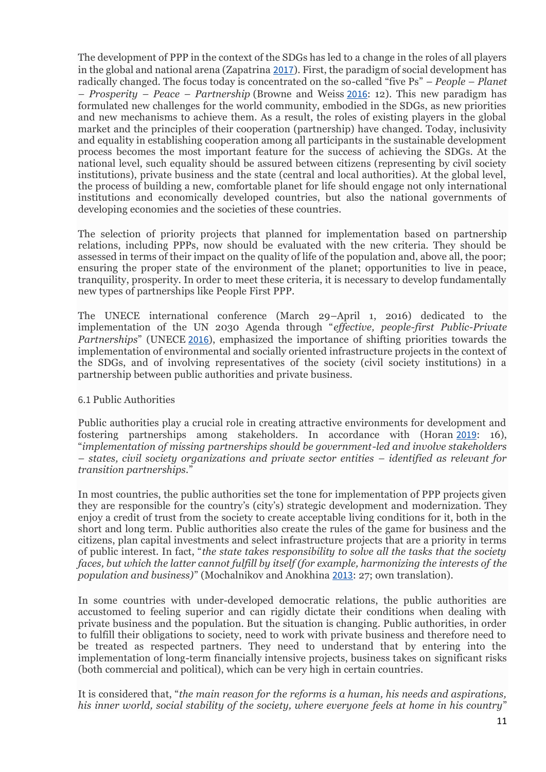The development of PPP in the context of the SDGs has led to a change in the roles of all players in the global and national arena (Zapatrina [2017](https://link.springer.com/referenceworkentry/10.1007%2F978-3-030-68074-9_10-1#CR18)). First, the paradigm of social development has radically changed. The focus today is concentrated on the so-called "five Ps" – *People – Planet – Prosperity – Peace – Partnership* (Browne and Weiss [2016](https://link.springer.com/referenceworkentry/10.1007%2F978-3-030-68074-9_10-1#CR1): 12). This new paradigm has formulated new challenges for the world community, embodied in the SDGs, as new priorities and new mechanisms to achieve them. As a result, the roles of existing players in the global market and the principles of their cooperation (partnership) have changed. Today, inclusivity and equality in establishing cooperation among all participants in the sustainable development process becomes the most important feature for the success of achieving the SDGs. At the national level, such equality should be assured between citizens (representing by civil society institutions), private business and the state (central and local authorities). At the global level, the process of building a new, comfortable planet for life should engage not only international institutions and economically developed countries, but also the national governments of developing economies and the societies of these countries.

The selection of priority projects that planned for implementation based on partnership relations, including PPPs, now should be evaluated with the new criteria. They should be assessed in terms of their impact on the quality of life of the population and, above all, the poor; ensuring the proper state of the environment of the planet; opportunities to live in peace, tranquility, prosperity. In order to meet these criteria, it is necessary to develop fundamentally new types of partnerships like People First PPP.

The UNECE international conference (March 29–April 1, 2016) dedicated to the implementation of the UN 2030 Agenda through "*effective, people-first Public-Private Partnerships*" (UNECE [2016](https://link.springer.com/referenceworkentry/10.1007%2F978-3-030-68074-9_10-1#CR10)), emphasized the importance of shifting priorities towards the implementation of environmental and socially oriented infrastructure projects in the context of the SDGs, and of involving representatives of the society (civil society institutions) in a partnership between public authorities and private business.

## 6.1 Public Authorities

Public authorities play a crucial role in creating attractive environments for development and fostering partnerships among stakeholders. In accordance with (Horan [2019](https://link.springer.com/referenceworkentry/10.1007%2F978-3-030-68074-9_10-1#CR3): 16), "*implementation of missing partnerships should be government-led and involve stakeholders – states, civil society organizations and private sector entities – identified as relevant for transition partnerships.*"

In most countries, the public authorities set the tone for implementation of PPP projects given they are responsible for the country's (city's) strategic development and modernization. They enjoy a credit of trust from the society to create acceptable living conditions for it, both in the short and long term. Public authorities also create the rules of the game for business and the citizens, plan capital investments and select infrastructure projects that are a priority in terms of public interest. In fact, "*the state takes responsibility to solve all the tasks that the society faces, but which the latter cannot fulfill by itself (for example, harmonizing the interests of the population and business)*" (Mochalnikov and Anokhina [2013](https://link.springer.com/referenceworkentry/10.1007%2F978-3-030-68074-9_10-1#CR7): 27; own translation).

In some countries with under-developed democratic relations, the public authorities are accustomed to feeling superior and can rigidly dictate their conditions when dealing with private business and the population. But the situation is changing. Public authorities, in order to fulfill their obligations to society, need to work with private business and therefore need to be treated as respected partners. They need to understand that by entering into the implementation of long-term financially intensive projects, business takes on significant risks (both commercial and political), which can be very high in certain countries.

It is considered that, "*the main reason for the reforms is a human, his needs and aspirations, his inner world, social stability of the society, where everyone feels at home in his country*"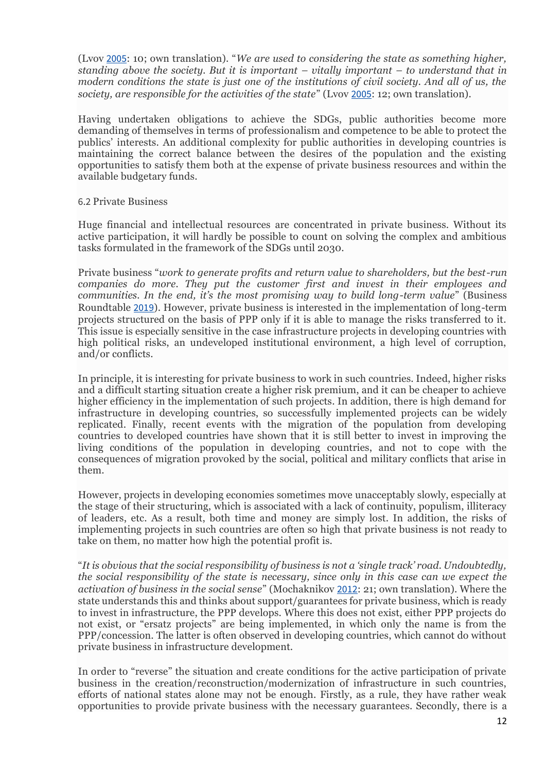(Lvov [2005](https://link.springer.com/referenceworkentry/10.1007%2F978-3-030-68074-9_10-1#CR5): 10; own translation). "*We are used to considering the state as something higher, standing above the society. But it is important – vitally important – to understand that in modern conditions the state is just one of the institutions of civil society. And all of us, the society, are responsible for the activities of the state*" (Lvov [2005](https://link.springer.com/referenceworkentry/10.1007%2F978-3-030-68074-9_10-1#CR5): 12; own translation).

Having undertaken obligations to achieve the SDGs, public authorities become more demanding of themselves in terms of professionalism and competence to be able to protect the publics' interests. An additional complexity for public authorities in developing countries is maintaining the correct balance between the desires of the population and the existing opportunities to satisfy them both at the expense of private business resources and within the available budgetary funds.

### 6.2 Private Business

Huge financial and intellectual resources are concentrated in private business. Without its active participation, it will hardly be possible to count on solving the complex and ambitious tasks formulated in the framework of the SDGs until 2030.

Private business "*work to generate profits and return value to shareholders, but the best-run companies do more. They put the customer first and invest in their employees and communities. In the end, it's the most promising way to build long-term value*" (Business Roundtable [2019](https://link.springer.com/referenceworkentry/10.1007%2F978-3-030-68074-9_10-1#CR2)). However, private business is interested in the implementation of long-term projects structured on the basis of PPP only if it is able to manage the risks transferred to it. This issue is especially sensitive in the case infrastructure projects in developing countries with high political risks, an undeveloped institutional environment, a high level of corruption, and/or conflicts.

In principle, it is interesting for private business to work in such countries. Indeed, higher risks and a difficult starting situation create a higher risk premium, and it can be cheaper to achieve higher efficiency in the implementation of such projects. In addition, there is high demand for infrastructure in developing countries, so successfully implemented projects can be widely replicated. Finally, recent events with the migration of the population from developing countries to developed countries have shown that it is still better to invest in improving the living conditions of the population in developing countries, and not to cope with the consequences of migration provoked by the social, political and military conflicts that arise in them.

However, projects in developing economies sometimes move unacceptably slowly, especially at the stage of their structuring, which is associated with a lack of continuity, populism, illiteracy of leaders, etc. As a result, both time and money are simply lost. In addition, the risks of implementing projects in such countries are often so high that private business is not ready to take on them, no matter how high the potential profit is.

"*It is obvious that the social responsibility of business is not a 'single track' road. Undoubtedly, the social responsibility of the state is necessary, since only in this case can we expect the activation of business in the social sense*" (Mochaknikov [2012](https://link.springer.com/referenceworkentry/10.1007%2F978-3-030-68074-9_10-1#CR6): 21; own translation). Where the state understands this and thinks about support/guarantees for private business, which is ready to invest in infrastructure, the PPP develops. Where this does not exist, either PPP projects do not exist, or "ersatz projects" are being implemented, in which only the name is from the PPP/concession. The latter is often observed in developing countries, which cannot do without private business in infrastructure development.

In order to "reverse" the situation and create conditions for the active participation of private business in the creation/reconstruction/modernization of infrastructure in such countries, efforts of national states alone may not be enough. Firstly, as a rule, they have rather weak opportunities to provide private business with the necessary guarantees. Secondly, there is a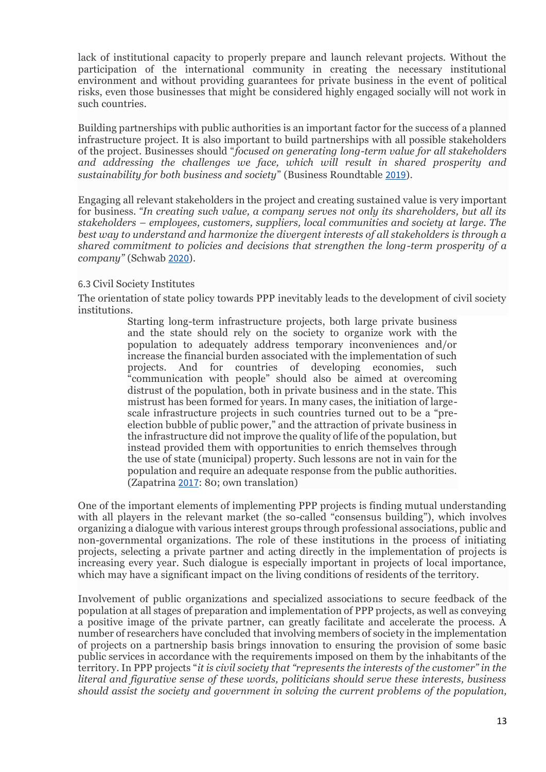lack of institutional capacity to properly prepare and launch relevant projects. Without the participation of the international community in creating the necessary institutional environment and without providing guarantees for private business in the event of political risks, even those businesses that might be considered highly engaged socially will not work in such countries.

Building partnerships with public authorities is an important factor for the success of a planned infrastructure project. It is also important to build partnerships with all possible stakeholders of the project. Businesses should "*focused on generating long-term value for all stakeholders and addressing the challenges we face, which will result in shared prosperity and sustainability for both business and society*" (Business Roundtable [2019](https://link.springer.com/referenceworkentry/10.1007%2F978-3-030-68074-9_10-1#CR2)).

Engaging all relevant stakeholders in the project and creating sustained value is very important for business. *"In creating such value, a company serves not only its shareholders, but all its stakeholders – employees, customers, suppliers, local communities and society at large. The best way to understand and harmonize the divergent interests of all stakeholders is through a shared commitment to policies and decisions that strengthen the long-term prosperity of a company"* (Schwab [2020](https://link.springer.com/referenceworkentry/10.1007%2F978-3-030-68074-9_10-1#CR9)).

## 6.3 Civil Society Institutes

The orientation of state policy towards PPP inevitably leads to the development of civil society institutions.

> Starting long-term infrastructure projects, both large private business and the state should rely on the society to organize work with the population to adequately address temporary inconveniences and/or increase the financial burden associated with the implementation of such projects. And for countries of developing economies, such "communication with people" should also be aimed at overcoming distrust of the population, both in private business and in the state. This mistrust has been formed for years. In many cases, the initiation of largescale infrastructure projects in such countries turned out to be a "preelection bubble of public power," and the attraction of private business in the infrastructure did not improve the quality of life of the population, but instead provided them with opportunities to enrich themselves through the use of state (municipal) property. Such lessons are not in vain for the population and require an adequate response from the public authorities. (Zapatrina [2017](https://link.springer.com/referenceworkentry/10.1007%2F978-3-030-68074-9_10-1#CR18): 80; own translation)

One of the important elements of implementing PPP projects is finding mutual understanding with all players in the relevant market (the so-called "consensus building"), which involves organizing a dialogue with various interest groups through professional associations, public and non-governmental organizations. The role of these institutions in the process of initiating projects, selecting a private partner and acting directly in the implementation of projects is increasing every year. Such dialogue is especially important in projects of local importance, which may have a significant impact on the living conditions of residents of the territory.

Involvement of public organizations and specialized associations to secure feedback of the population at all stages of preparation and implementation of PPP projects, as well as conveying a positive image of the private partner, can greatly facilitate and accelerate the process. A number of researchers have concluded that involving members of society in the implementation of projects on a partnership basis brings innovation to ensuring the provision of some basic public services in accordance with the requirements imposed on them by the inhabitants of the territory. In PPP projects "*it is civil society that "represents the interests of the customer" in the literal and figurative sense of these words, politicians should serve these interests, business should assist the society and government in solving the current problems of the population,*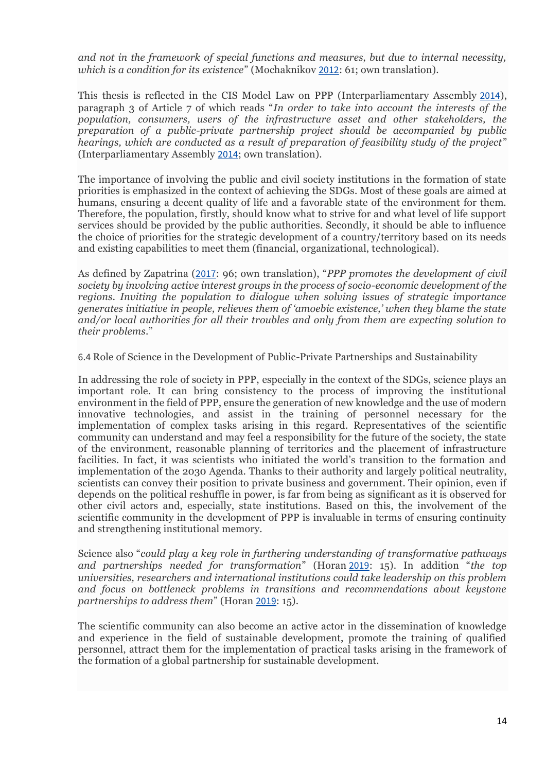*and not in the framework of special functions and measures, but due to internal necessity, which is a condition for its existence*" (Mochaknikov [2012](https://link.springer.com/referenceworkentry/10.1007%2F978-3-030-68074-9_10-1#CR6): 61; own translation).

This thesis is reflected in the CIS Model Law on PPP (Interparliamentary Assembly [2014](https://link.springer.com/referenceworkentry/10.1007%2F978-3-030-68074-9_10-1#CR4)), paragraph 3 of Article 7 of which reads "*In order to take into account the interests of the population, consumers, users of the infrastructure asset and other stakeholders, the preparation of a public-private partnership project should be accompanied by public hearings, which are conducted as a result of preparation of feasibility study of the project*" (Interparliamentary Assembly [2014](https://link.springer.com/referenceworkentry/10.1007%2F978-3-030-68074-9_10-1#CR4); own translation).

The importance of involving the public and civil society institutions in the formation of state priorities is emphasized in the context of achieving the SDGs. Most of these goals are aimed at humans, ensuring a decent quality of life and a favorable state of the environment for them. Therefore, the population, firstly, should know what to strive for and what level of life support services should be provided by the public authorities. Secondly, it should be able to influence the choice of priorities for the strategic development of a country/territory based on its needs and existing capabilities to meet them (financial, organizational, technological).

As defined by Zapatrina ([2017](https://link.springer.com/referenceworkentry/10.1007%2F978-3-030-68074-9_10-1#CR18): 96; own translation), "*PPP promotes the development of civil society by involving active interest groups in the process of socio-economic development of the regions. Inviting the population to dialogue when solving issues of strategic importance generates initiative in people, relieves them of 'amoebic existence,' when they blame the state and/or local authorities for all their troubles and only from them are expecting solution to their problems*."

6.4 Role of Science in the Development of Public-Private Partnerships and Sustainability

In addressing the role of society in PPP, especially in the context of the SDGs, science plays an important role. It can bring consistency to the process of improving the institutional environment in the field of PPP, ensure the generation of new knowledge and the use of modern innovative technologies, and assist in the training of personnel necessary for the implementation of complex tasks arising in this regard. Representatives of the scientific community can understand and may feel a responsibility for the future of the society, the state of the environment, reasonable planning of territories and the placement of infrastructure facilities. In fact, it was scientists who initiated the world's transition to the formation and implementation of the 2030 Agenda. Thanks to their authority and largely political neutrality, scientists can convey their position to private business and government. Their opinion, even if depends on the political reshuffle in power, is far from being as significant as it is observed for other civil actors and, especially, state institutions. Based on this, the involvement of the scientific community in the development of PPP is invaluable in terms of ensuring continuity and strengthening institutional memory.

Science also "*could play a key role in furthering understanding of transformative pathways and partnerships needed for transformation*" (Horan [2019](https://link.springer.com/referenceworkentry/10.1007%2F978-3-030-68074-9_10-1#CR3): 15). In addition "*the top universities, researchers and international institutions could take leadership on this problem and focus on bottleneck problems in transitions and recommendations about keystone partnerships to address them*" (Horan [2019](https://link.springer.com/referenceworkentry/10.1007%2F978-3-030-68074-9_10-1#CR3): 15).

The scientific community can also become an active actor in the dissemination of knowledge and experience in the field of sustainable development, promote the training of qualified personnel, attract them for the implementation of practical tasks arising in the framework of the formation of a global partnership for sustainable development.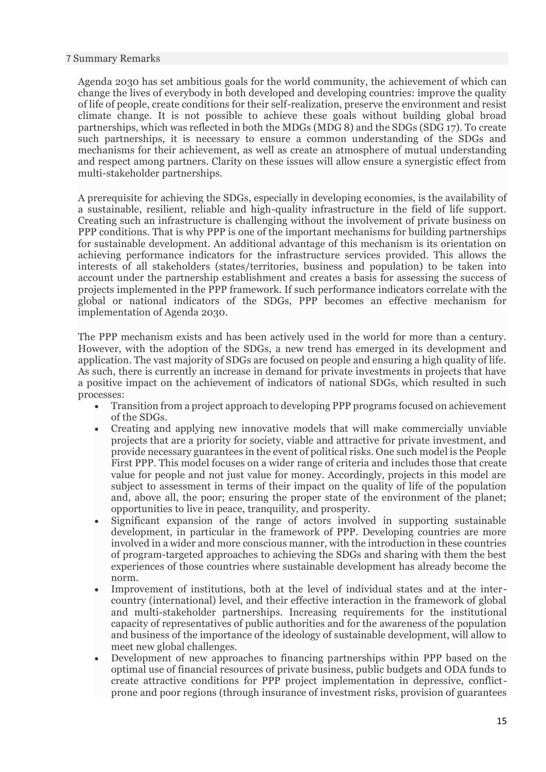### 7 Summary Remarks

Agenda 2030 has set ambitious goals for the world community, the achievement of which can change the lives of everybody in both developed and developing countries: improve the quality of life of people, create conditions for their self-realization, preserve the environment and resist climate change. It is not possible to achieve these goals without building global broad partnerships, which was reflected in both the MDGs (MDG 8) and the SDGs (SDG 17). To create such partnerships, it is necessary to ensure a common understanding of the SDGs and mechanisms for their achievement, as well as create an atmosphere of mutual understanding and respect among partners. Clarity on these issues will allow ensure a synergistic effect from multi-stakeholder partnerships.

A prerequisite for achieving the SDGs, especially in developing economies, is the availability of a sustainable, resilient, reliable and high-quality infrastructure in the field of life support. Creating such an infrastructure is challenging without the involvement of private business on PPP conditions. That is why PPP is one of the important mechanisms for building partnerships for sustainable development. An additional advantage of this mechanism is its orientation on achieving performance indicators for the infrastructure services provided. This allows the interests of all stakeholders (states/territories, business and population) to be taken into account under the partnership establishment and creates a basis for assessing the success of projects implemented in the PPP framework. If such performance indicators correlate with the global or national indicators of the SDGs, PPP becomes an effective mechanism for implementation of Agenda 2030.

The PPP mechanism exists and has been actively used in the world for more than a century. However, with the adoption of the SDGs, a new trend has emerged in its development and application. The vast majority of SDGs are focused on people and ensuring a high quality of life. As such, there is currently an increase in demand for private investments in projects that have a positive impact on the achievement of indicators of national SDGs, which resulted in such processes:

- Transition from a project approach to developing PPP programs focused on achievement of the SDGs.
- Creating and applying new innovative models that will make commercially unviable projects that are a priority for society, viable and attractive for private investment, and provide necessary guarantees in the event of political risks. One such model is the People First PPP. This model focuses on a wider range of criteria and includes those that create value for people and not just value for money. Accordingly, projects in this model are subject to assessment in terms of their impact on the quality of life of the population and, above all, the poor; ensuring the proper state of the environment of the planet; opportunities to live in peace, tranquility, and prosperity.
- Significant expansion of the range of actors involved in supporting sustainable development, in particular in the framework of PPP. Developing countries are more involved in a wider and more conscious manner, with the introduction in these countries of program-targeted approaches to achieving the SDGs and sharing with them the best experiences of those countries where sustainable development has already become the norm.
- Improvement of institutions, both at the level of individual states and at the intercountry (international) level, and their effective interaction in the framework of global and multi-stakeholder partnerships. Increasing requirements for the institutional capacity of representatives of public authorities and for the awareness of the population and business of the importance of the ideology of sustainable development, will allow to meet new global challenges.
- Development of new approaches to financing partnerships within PPP based on the optimal use of financial resources of private business, public budgets and ODA funds to create attractive conditions for PPP project implementation in depressive, conflictprone and poor regions (through insurance of investment risks, provision of guarantees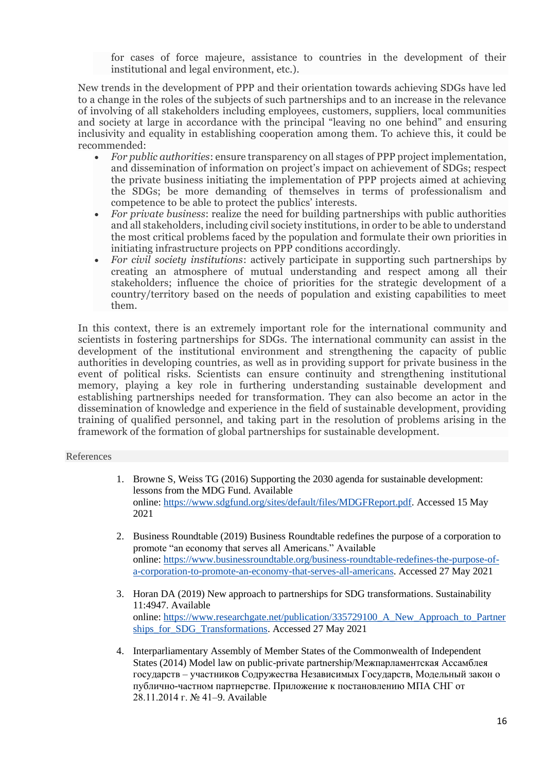for cases of force majeure, assistance to countries in the development of their institutional and legal environment, etc.).

New trends in the development of PPP and their orientation towards achieving SDGs have led to a change in the roles of the subjects of such partnerships and to an increase in the relevance of involving of all stakeholders including employees, customers, suppliers, local communities and society at large in accordance with the principal "leaving no one behind" and ensuring inclusivity and equality in establishing cooperation among them. To achieve this, it could be recommended:

- *For public authorities*: ensure transparency on all stages of PPP project implementation, and dissemination of information on project's impact on achievement of SDGs; respect the private business initiating the implementation of PPP projects aimed at achieving the SDGs; be more demanding of themselves in terms of professionalism and competence to be able to protect the publics' interests.
- *For private business*: realize the need for building partnerships with public authorities and all stakeholders, including civil society institutions, in order to be able to understand the most critical problems faced by the population and formulate their own priorities in initiating infrastructure projects on PPP conditions accordingly.
- *For civil society institutions*: actively participate in supporting such partnerships by creating an atmosphere of mutual understanding and respect among all their stakeholders; influence the choice of priorities for the strategic development of a country/territory based on the needs of population and existing capabilities to meet them.

In this context, there is an extremely important role for the international community and scientists in fostering partnerships for SDGs. The international community can assist in the development of the institutional environment and strengthening the capacity of public authorities in developing countries, as well as in providing support for private business in the event of political risks. Scientists can ensure continuity and strengthening institutional memory, playing a key role in furthering understanding sustainable development and establishing partnerships needed for transformation. They can also become an actor in the dissemination of knowledge and experience in the field of sustainable development, providing training of qualified personnel, and taking part in the resolution of problems arising in the framework of the formation of global partnerships for sustainable development.

#### References

- 1. Browne S, Weiss TG (2016) Supporting the 2030 agenda for sustainable development: lessons from the MDG Fund. Available online: [https://www.sdgfund.org/sites/default/files/MDGFReport.pdf.](https://www.sdgfund.org/sites/default/files/MDGFReport.pdf) Accessed 15 May 2021
- 2. Business Roundtable (2019) Business Roundtable redefines the purpose of a corporation to promote "an economy that serves all Americans." Available online: [https://www.businessroundtable.org/business-roundtable-redefines-the-purpose-of](https://www.businessroundtable.org/business-roundtable-redefines-the-purpose-of-a-corporation-to-promote-an-economy-that-serves-all-americans)[a-corporation-to-promote-an-economy-that-serves-all-americans.](https://www.businessroundtable.org/business-roundtable-redefines-the-purpose-of-a-corporation-to-promote-an-economy-that-serves-all-americans) Accessed 27 May 2021
- 3. Horan DA (2019) New approach to partnerships for SDG transformations. Sustainability 11:4947. Available online: [https://www.researchgate.net/publication/335729100\\_A\\_New\\_Approach\\_to\\_Partner](https://www.researchgate.net/publication/335729100_A_New_Approach_to_Partnerships_for_SDG_Transformations) [ships\\_for\\_SDG\\_Transformations.](https://www.researchgate.net/publication/335729100_A_New_Approach_to_Partnerships_for_SDG_Transformations) Accessed 27 May 2021
- 4. Interparliamentary Assembly of Member States of the Commonwealth of Independent States (2014) Model law on public-private partnership/Межпарламентская Ассамблея государств – участников Содружества Независимых Государств, Модельный закон o публично-частном партнерстве. Приложение к постановлению МПА СНГ от 28.11.2014 г. № 41–9. Available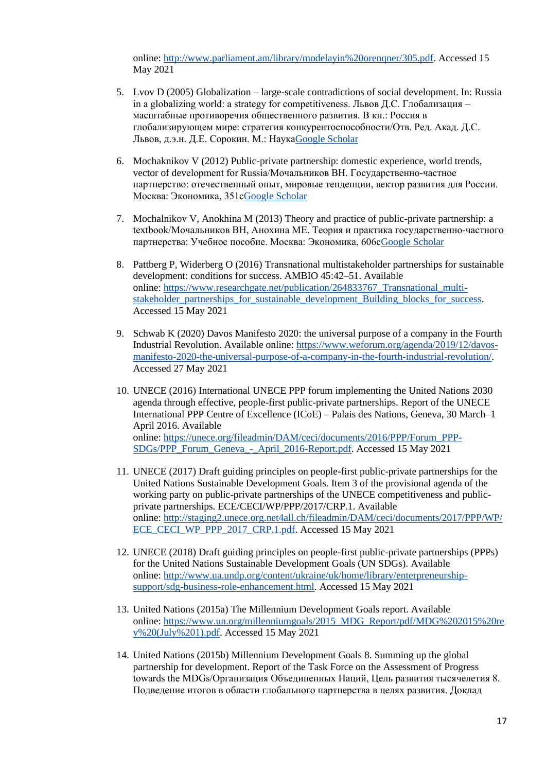online: [http://www.parliament.am/library/modelayin%20orenqner/305.pdf.](http://www.parliament.am/library/modelayin%20orenqner/305.pdf) Accessed 15 May 2021

- 5. Lvov D (2005) Globalization large-scale contradictions of social development. In: Russia in a globalizing world: a strategy for competitiveness. Львов Д.С. Глобализация – масштабные противоречия общественного развития. В кн.: Россия в глобализирующем мире: стратегия конкурентоспособности/Отв. Ред. Акад. Д.С. Львов, д.э.н. Д.Е. Сорокин. М.: Наук[аGoogle Scholar](https://scholar.google.com/scholar?q=Lvov%20D%20%282005%29%20Globalization%20%E2%80%93%20large-scale%20contradictions%20of%20social%20development.%20In%3A%20Russia%20in%20a%20globalizing%20world%3A%20a%20strategy%20for%20competitiveness.%20%D0%9B%D1%8C%D0%B2%D0%BE%D0%B2%20%D0%94.%D0%A1.%20%D0%93%D0%BB%D0%BE%D0%B1%D0%B0%D0%BB%D0%B8%D0%B7%D0%B0%D1%86%D0%B8%D1%8F%20%E2%80%93%20%D0%BC%D0%B0%D1%81%D1%88%D1%82%D0%B0%D0%B1%D0%BD%D1%8B%D0%B5%20%D0%BF%D1%80%D0%BE%D1%82%D0%B8%D0%B2%D0%BE%D1%80%D0%B5%D1%87%D0%B8%D1%8F%20%D0%BE%D0%B1%D1%89%D0%B5%D1%81%D1%82%D0%B2%D0%B5%D0%BD%D0%BD%D0%BE%D0%B3%D0%BE%20%D1%80%D0%B0%D0%B7%D0%B2%D0%B8%D1%82%D0%B8%D1%8F.%20%D0%92%20%D0%BA%D0%BD.%3A%20%D0%A0%D0%BE%D1%81%D1%81%D0%B8%D1%8F%20%D0%B2%20%D0%B3%D0%BB%D0%BE%D0%B1%D0%B0%D0%BB%D0%B8%D0%B7%D0%B8%D1%80%D1%83%D1%8E%D1%89%D0%B5%D0%BC%20%D0%BC%D0%B8%D1%80%D0%B5%3A%20%D1%81%D1%82%D1%80%D0%B0%D1%82%D0%B5%D0%B3%D0%B8%D1%8F%20%D0%BA%D0%BE%D0%BD%D0%BA%D1%83%D1%80%D0%B5%D0%BD%D1%82%D0%BE%D1%81%D0%BF%D0%BE%D1%81%D0%BE%D0%B1%D0%BD%D0%BE%D1%81%D1%82%D0%B8%2F%D0%9E%D1%82%D0%B2.%20%D0%A0%D0%B5%D0%B4.%20%D0%90%D0%BA%D0%B0%D0%B4.%20%D0%94.%D0%A1.%20%D0%9B%D1%8C%D0%B2%D0%BE%D0%B2%2C%20%D0%B4.%D1%8D.%D0%BD.%20%D0%94.%D0%95.%20%D0%A1%D0%BE%D1%80%D0%BE%D0%BA%D0%B8%D0%BD.%20%D0%9C.%3A%20%D0%9D%D0%B0%D1%83%D0%BA%D0%B0)
- 6. Mochaknikov V (2012) Public-private partnership: domestic experience, world trends, vector of development for Russia/Мочальников ВН. Государственно-частное партнерство: отечественный опыт, мировые тенденции, вектор развития для России. Москва: Экономика, 351[сGoogle Scholar](https://scholar.google.com/scholar?q=Mochaknikov%20V%20%282012%29%20Public-private%20partnership%3A%20domestic%20experience%2C%20world%20trends%2C%20vector%20of%20development%20for%20Russia%2F%D0%9C%D0%BE%D1%87%D0%B0%D0%BB%D1%8C%D0%BD%D0%B8%D0%BA%D0%BE%D0%B2%20%D0%92%D0%9D.%20%D0%93%D0%BE%D1%81%D1%83%D0%B4%D0%B0%D1%80%D1%81%D1%82%D0%B2%D0%B5%D0%BD%D0%BD%D0%BE-%D1%87%D0%B0%D1%81%D1%82%D0%BD%D0%BE%D0%B5%20%D0%BF%D0%B0%D1%80%D1%82%D0%BD%D0%B5%D1%80%D1%81%D1%82%D0%B2%D0%BE%3A%20%D0%BE%D1%82%D0%B5%D1%87%D0%B5%D1%81%D1%82%D0%B2%D0%B5%D0%BD%D0%BD%D1%8B%D0%B9%20%D0%BE%D0%BF%D1%8B%D1%82%2C%20%D0%BC%D0%B8%D1%80%D0%BE%D0%B2%D1%8B%D0%B5%20%D1%82%D0%B5%D0%BD%D0%B4%D0%B5%D0%BD%D1%86%D0%B8%D0%B8%2C%20%D0%B2%D0%B5%D0%BA%D1%82%D0%BE%D1%80%20%D1%80%D0%B0%D0%B7%D0%B2%D0%B8%D1%82%D0%B8%D1%8F%20%D0%B4%D0%BB%D1%8F%20%D0%A0%D0%BE%D1%81%D1%81%D0%B8%D0%B8.%20%D0%9C%D0%BE%D1%81%D0%BA%D0%B2%D0%B0%3A%20%D0%AD%D0%BA%D0%BE%D0%BD%D0%BE%D0%BC%D0%B8%D0%BA%D0%B0%2C%20351%D1%81)
- 7. Mochalnikov V, Anokhina M (2013) Theory and practice of public-private partnership: a textbook/Мочальников ВН, Анохина МЕ. Теория и практика государственно-частного партнерства: Учебное пособие. Москва: Экономика, 606[сGoogle Scholar](https://scholar.google.com/scholar?q=Mochalnikov%20V%2C%20Anokhina%20M%20%282013%29%20Theory%20and%20practice%20of%20public-private%20partnership%3A%20a%20textbook%2F%D0%9C%D0%BE%D1%87%D0%B0%D0%BB%D1%8C%D0%BD%D0%B8%D0%BA%D0%BE%D0%B2%20%D0%92%D0%9D%2C%20%D0%90%D0%BD%D0%BE%D1%85%D0%B8%D0%BD%D0%B0%20%D0%9C%D0%95.%20%D0%A2%D0%B5%D0%BE%D1%80%D0%B8%D1%8F%20%D0%B8%20%D0%BF%D1%80%D0%B0%D0%BA%D1%82%D0%B8%D0%BA%D0%B0%20%D0%B3%D0%BE%D1%81%D1%83%D0%B4%D0%B0%D1%80%D1%81%D1%82%D0%B2%D0%B5%D0%BD%D0%BD%D0%BE-%D1%87%D0%B0%D1%81%D1%82%D0%BD%D0%BE%D0%B3%D0%BE%20%D0%BF%D0%B0%D1%80%D1%82%D0%BD%D0%B5%D1%80%D1%81%D1%82%D0%B2%D0%B0%3A%20%D0%A3%D1%87%D0%B5%D0%B1%D0%BD%D0%BE%D0%B5%20%D0%BF%D0%BE%D1%81%D0%BE%D0%B1%D0%B8%D0%B5.%20%D0%9C%D0%BE%D1%81%D0%BA%D0%B2%D0%B0%3A%20%D0%AD%D0%BA%D0%BE%D0%BD%D0%BE%D0%BC%D0%B8%D0%BA%D0%B0%2C%20606%D1%81)
- 8. Pattberg P, Widerberg O (2016) Transnational multistakeholder partnerships for sustainable development: conditions for success. AMBIO 45:42–51. Available online: [https://www.researchgate.net/publication/264833767\\_Transnational\\_multi](https://www.researchgate.net/publication/264833767_Transnational_multi-stakeholder_partnerships_for_sustainable_development_Building_blocks_for_success)[stakeholder\\_partnerships\\_for\\_sustainable\\_development\\_Building\\_blocks\\_for\\_success.](https://www.researchgate.net/publication/264833767_Transnational_multi-stakeholder_partnerships_for_sustainable_development_Building_blocks_for_success) Accessed 15 May 2021
- 9. Schwab K (2020) Davos Manifesto 2020: the universal purpose of a company in the Fourth Industrial Revolution. Available online: [https://www.weforum.org/agenda/2019/12/davos](https://www.weforum.org/agenda/2019/12/davos-manifesto-2020-the-universal-purpose-of-a-company-in-the-fourth-industrial-revolution/)[manifesto-2020-the-universal-purpose-of-a-company-in-the-fourth-industrial-revolution/.](https://www.weforum.org/agenda/2019/12/davos-manifesto-2020-the-universal-purpose-of-a-company-in-the-fourth-industrial-revolution/) Accessed 27 May 2021
- 10. UNECE (2016) International UNECE PPP forum implementing the United Nations 2030 agenda through effective, people-first public-private partnerships. Report of the UNECE International PPP Centre of Excellence (ICoE) – Palais des Nations, Geneva, 30 March–1 April 2016. Available online: [https://unece.org/fileadmin/DAM/ceci/documents/2016/PPP/Forum\\_PPP-](https://unece.org/fileadmin/DAM/ceci/documents/2016/PPP/Forum_PPP-SDGs/PPP_Forum_Geneva_-_April_2016-Report.pdf)[SDGs/PPP\\_Forum\\_Geneva\\_-\\_April\\_2016-Report.pdf.](https://unece.org/fileadmin/DAM/ceci/documents/2016/PPP/Forum_PPP-SDGs/PPP_Forum_Geneva_-_April_2016-Report.pdf) Accessed 15 May 2021
- 11. UNECE (2017) Draft guiding principles on people-first public-private partnerships for the United Nations Sustainable Development Goals. Item 3 of the provisional agenda of the working party on public-private partnerships of the UNECE competitiveness and publicprivate partnerships. ECE/CECI/WP/PPP/2017/CRP.1. Available online: [http://staging2.unece.org.net4all.ch/fileadmin/DAM/ceci/documents/2017/PPP/WP/](http://staging2.unece.org.net4all.ch/fileadmin/DAM/ceci/documents/2017/PPP/WP/ECE_CECI_WP_PPP_2017_CRP.1.pdf) [ECE\\_CECI\\_WP\\_PPP\\_2017\\_CRP.1.pdf.](http://staging2.unece.org.net4all.ch/fileadmin/DAM/ceci/documents/2017/PPP/WP/ECE_CECI_WP_PPP_2017_CRP.1.pdf) Accessed 15 May 2021
- 12. UNECE (2018) Draft guiding principles on people-first public-private partnerships (PPPs) for the United Nations Sustainable Development Goals (UN SDGs). Available online: [http://www.ua.undp.org/content/ukraine/uk/home/library/enterpreneurship](http://www.ua.undp.org/content/ukraine/uk/home/library/enterpreneurship-support/sdg-business-role-enhancement.html)[support/sdg-business-role-enhancement.html.](http://www.ua.undp.org/content/ukraine/uk/home/library/enterpreneurship-support/sdg-business-role-enhancement.html) Accessed 15 May 2021
- 13. United Nations (2015a) The Millennium Development Goals report. Available online: [https://www.un.org/millenniumgoals/2015\\_MDG\\_Report/pdf/MDG%202015%20re](https://www.un.org/millenniumgoals/2015_MDG_Report/pdf/MDG%202015%20rev%20(July%201).pdf) [v%20\(July%201\).pdf.](https://www.un.org/millenniumgoals/2015_MDG_Report/pdf/MDG%202015%20rev%20(July%201).pdf) Accessed 15 May 2021
- 14. United Nations (2015b) Millennium Development Goals 8. Summing up the global partnership for development. Report of the Task Force on the Assessment of Progress towards the MDGs/Организация Объединенных Наций, Цель развития тысячелетия 8. Подведение итогов в области глобального партнерства в целях развития. Доклад